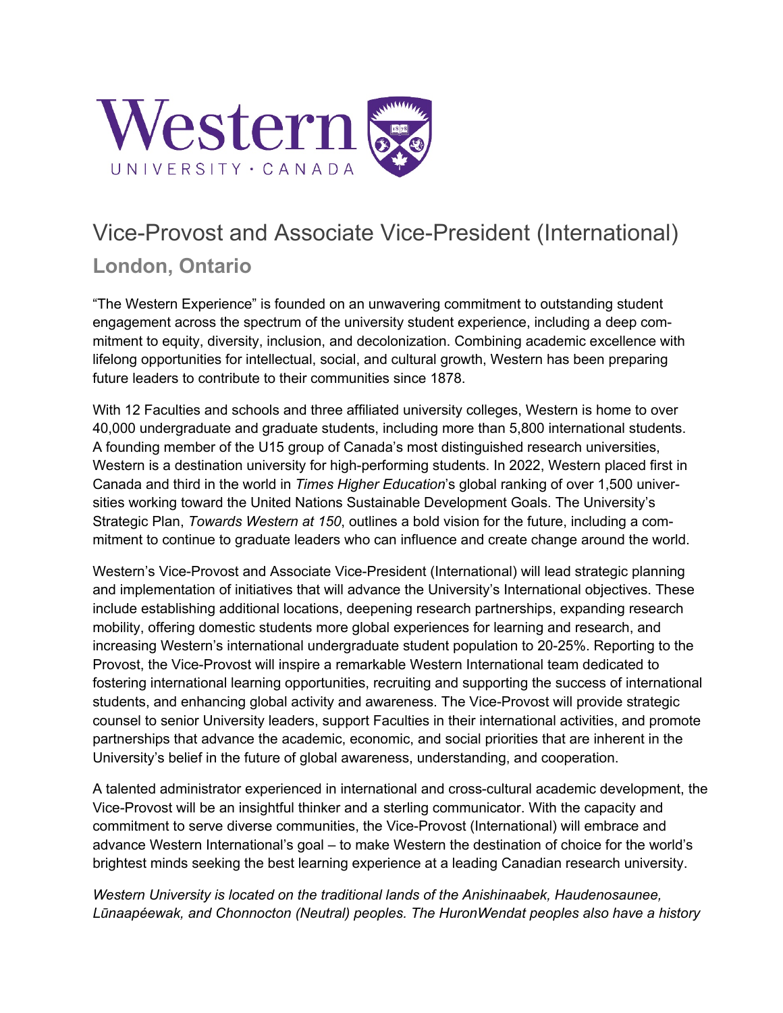

## Vice-Provost and Associate Vice-President (International) **London, Ontario**

"The Western Experience" is founded on an unwavering commitment to outstanding student engagement across the spectrum of the university student experience, including a deep commitment to equity, diversity, inclusion, and decolonization. Combining academic excellence with lifelong opportunities for intellectual, social, and cultural growth, Western has been preparing future leaders to contribute to their communities since 1878.

With 12 Faculties and schools and three affiliated university colleges, Western is home to over 40,000 undergraduate and graduate students, including more than 5,800 international students. A founding member of the U15 group of Canada's most distinguished research universities, Western is a destination university for high-performing students. In 2022, Western placed first in Canada and third in the world in *Times Higher Education*'s global ranking of over 1,500 universities working toward the United Nations Sustainable Development Goals. The University's Strategic Plan, *Towards Western at 150*, outlines a bold vision for the future, including a commitment to continue to graduate leaders who can influence and create change around the world.

Western's Vice-Provost and Associate Vice-President (International) will lead strategic planning and implementation of initiatives that will advance the University's International objectives. These include establishing additional locations, deepening research partnerships, expanding research mobility, offering domestic students more global experiences for learning and research, and increasing Western's international undergraduate student population to 20-25%. Reporting to the Provost, the Vice-Provost will inspire a remarkable Western International team dedicated to fostering international learning opportunities, recruiting and supporting the success of international students, and enhancing global activity and awareness. The Vice-Provost will provide strategic counsel to senior University leaders, support Faculties in their international activities, and promote partnerships that advance the academic, economic, and social priorities that are inherent in the University's belief in the future of global awareness, understanding, and cooperation.

A talented administrator experienced in international and cross-cultural academic development, the Vice-Provost will be an insightful thinker and a sterling communicator. With the capacity and commitment to serve diverse communities, the Vice-Provost (International) will embrace and advance Western International's goal – to make Western the destination of choice for the world's brightest minds seeking the best learning experience at a leading Canadian research university.

*Western University is located on the traditional lands of the Anishinaabek, Haudenosaunee, Lūnaapéewak, and Chonnocton (Neutral) peoples. The HuronWendat peoples also have a history*